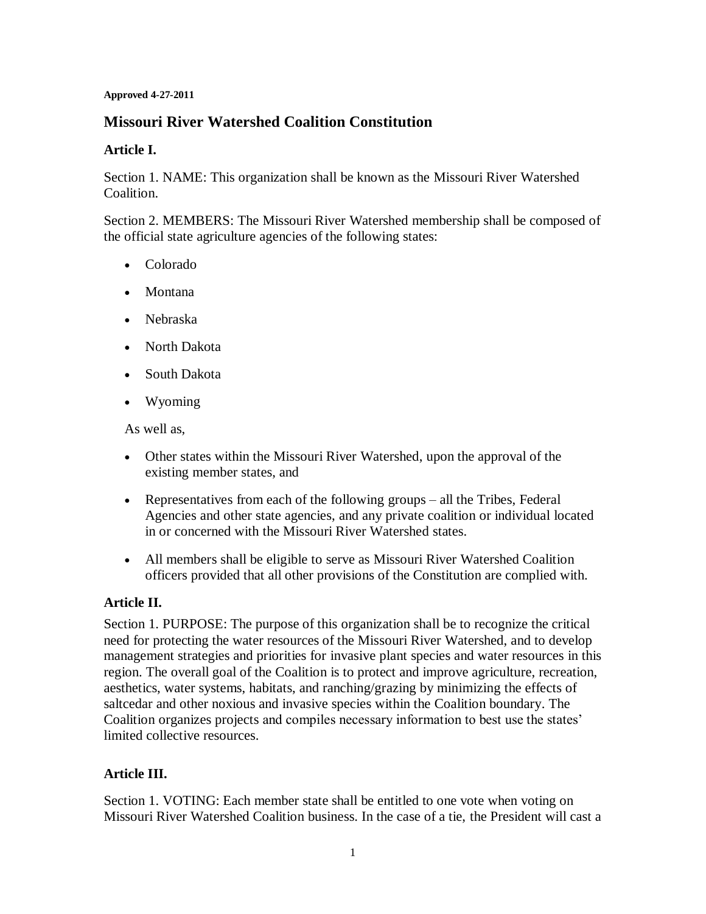#### **Approved 4-27-2011**

# **Missouri River Watershed Coalition Constitution**

#### **Article I.**

Section 1. NAME: This organization shall be known as the Missouri River Watershed Coalition.

Section 2. MEMBERS: The Missouri River Watershed membership shall be composed of the official state agriculture agencies of the following states:

- Colorado
- Montana
- Nebraska
- North Dakota
- South Dakota
- Wyoming

As well as,

- Other states within the Missouri River Watershed, upon the approval of the existing member states, and
- Representatives from each of the following groups all the Tribes, Federal Agencies and other state agencies, and any private coalition or individual located in or concerned with the Missouri River Watershed states.
- All members shall be eligible to serve as Missouri River Watershed Coalition officers provided that all other provisions of the Constitution are complied with.

### **Article II.**

Section 1. PURPOSE: The purpose of this organization shall be to recognize the critical need for protecting the water resources of the Missouri River Watershed, and to develop management strategies and priorities for invasive plant species and water resources in this region. The overall goal of the Coalition is to protect and improve agriculture, recreation, aesthetics, water systems, habitats, and ranching/grazing by minimizing the effects of saltcedar and other noxious and invasive species within the Coalition boundary. The Coalition organizes projects and compiles necessary information to best use the states' limited collective resources.

### **Article III.**

Section 1. VOTING: Each member state shall be entitled to one vote when voting on Missouri River Watershed Coalition business. In the case of a tie, the President will cast a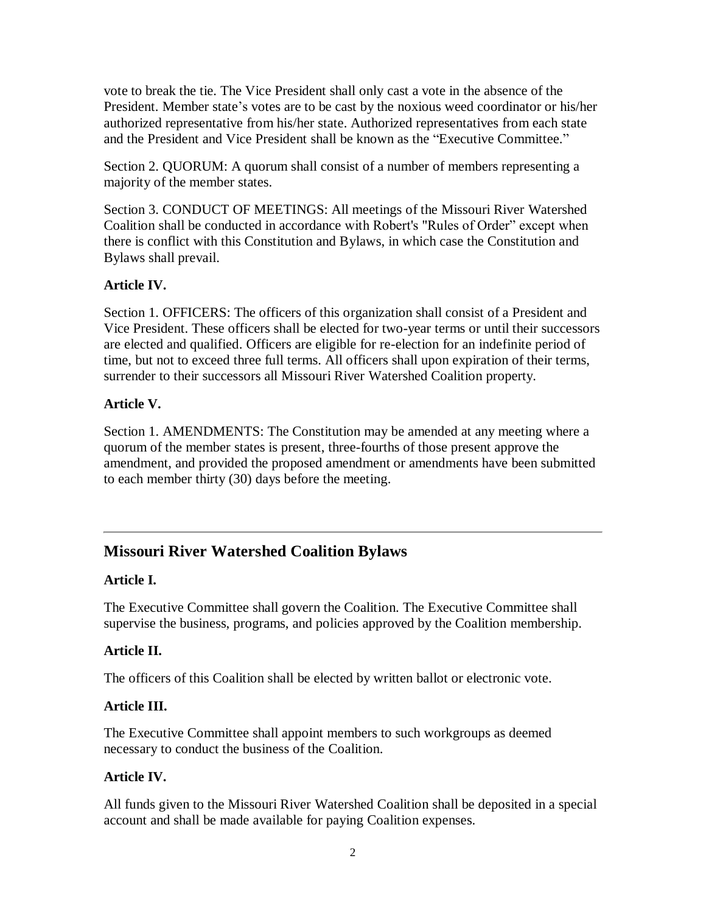vote to break the tie. The Vice President shall only cast a vote in the absence of the President. Member state's votes are to be cast by the noxious weed coordinator or his/her authorized representative from his/her state. Authorized representatives from each state and the President and Vice President shall be known as the "Executive Committee."

Section 2. QUORUM: A quorum shall consist of a number of members representing a majority of the member states.

Section 3. CONDUCT OF MEETINGS: All meetings of the Missouri River Watershed Coalition shall be conducted in accordance with Robert's "Rules of Order" except when there is conflict with this Constitution and Bylaws, in which case the Constitution and Bylaws shall prevail.

# **Article IV.**

Section 1. OFFICERS: The officers of this organization shall consist of a President and Vice President. These officers shall be elected for two-year terms or until their successors are elected and qualified. Officers are eligible for re-election for an indefinite period of time, but not to exceed three full terms. All officers shall upon expiration of their terms, surrender to their successors all Missouri River Watershed Coalition property.

### **Article V.**

Section 1. AMENDMENTS: The Constitution may be amended at any meeting where a quorum of the member states is present, three-fourths of those present approve the amendment, and provided the proposed amendment or amendments have been submitted to each member thirty (30) days before the meeting.

# **Missouri River Watershed Coalition Bylaws**

### **Article I.**

The Executive Committee shall govern the Coalition. The Executive Committee shall supervise the business, programs, and policies approved by the Coalition membership.

### **Article II.**

The officers of this Coalition shall be elected by written ballot or electronic vote.

### **Article III.**

The Executive Committee shall appoint members to such workgroups as deemed necessary to conduct the business of the Coalition.

### **Article IV.**

All funds given to the Missouri River Watershed Coalition shall be deposited in a special account and shall be made available for paying Coalition expenses.